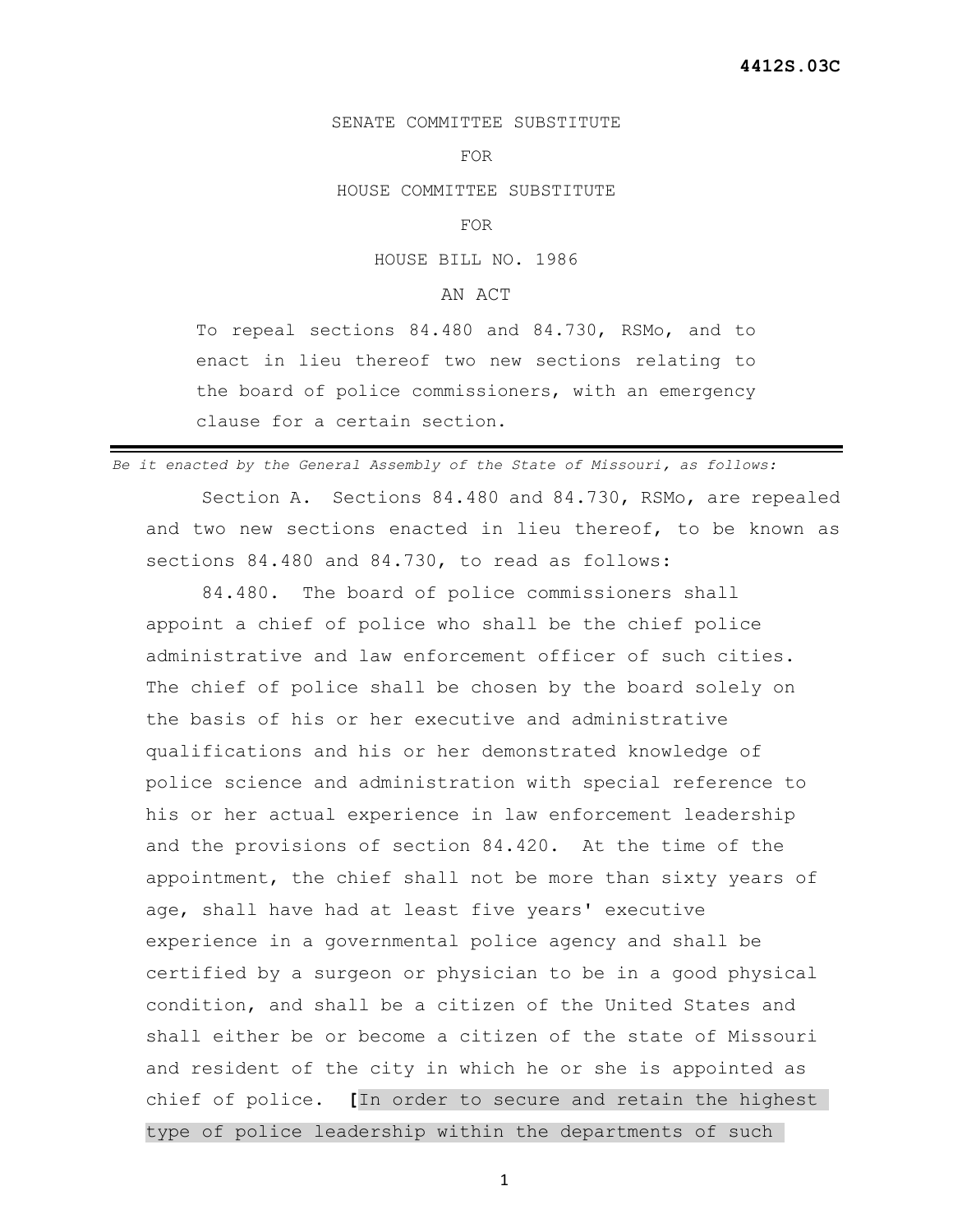## SENATE COMMITTEE SUBSTITUTE

## FOR

HOUSE COMMITTEE SUBSTITUTE

## FOR

HOUSE BILL NO. 1986

## AN ACT

To repeal sections 84.480 and 84.730, RSMo, and to enact in lieu thereof two new sections relating to the board of police commissioners, with an emergency clause for a certain section.

*Be it enacted by the General Assembly of the State of Missouri, as follows:*

 Section A. Sections 84.480 and 84.730, RSMo, are repealed and two new sections enacted in lieu thereof, to be known as sections 84.480 and 84.730, to read as follows:

 84.480. The board of police commissioners shall appoint a chief of police who shall be the chief police administrative and law enforcement officer of such cities. The chief of police shall be chosen by the board solely on the basis of his or her executive and administrative qualifications and his or her demonstrated knowledge of police science and administration with special reference to his or her actual experience in law enforcement leadership and the provisions of section 84.420. At the time of the appointment, the chief shall not be more than sixty years of age, shall have had at least five years' executive experience in a governmental police agency and shall be certified by a surgeon or physician to be in a good physical condition, and shall be a citizen of the United States and shall either be or become a citizen of the state of Missouri and resident of the city in which he or she is appointed as chief of police. **[**In order to secure and retain the highest type of police leadership within the departments of such

1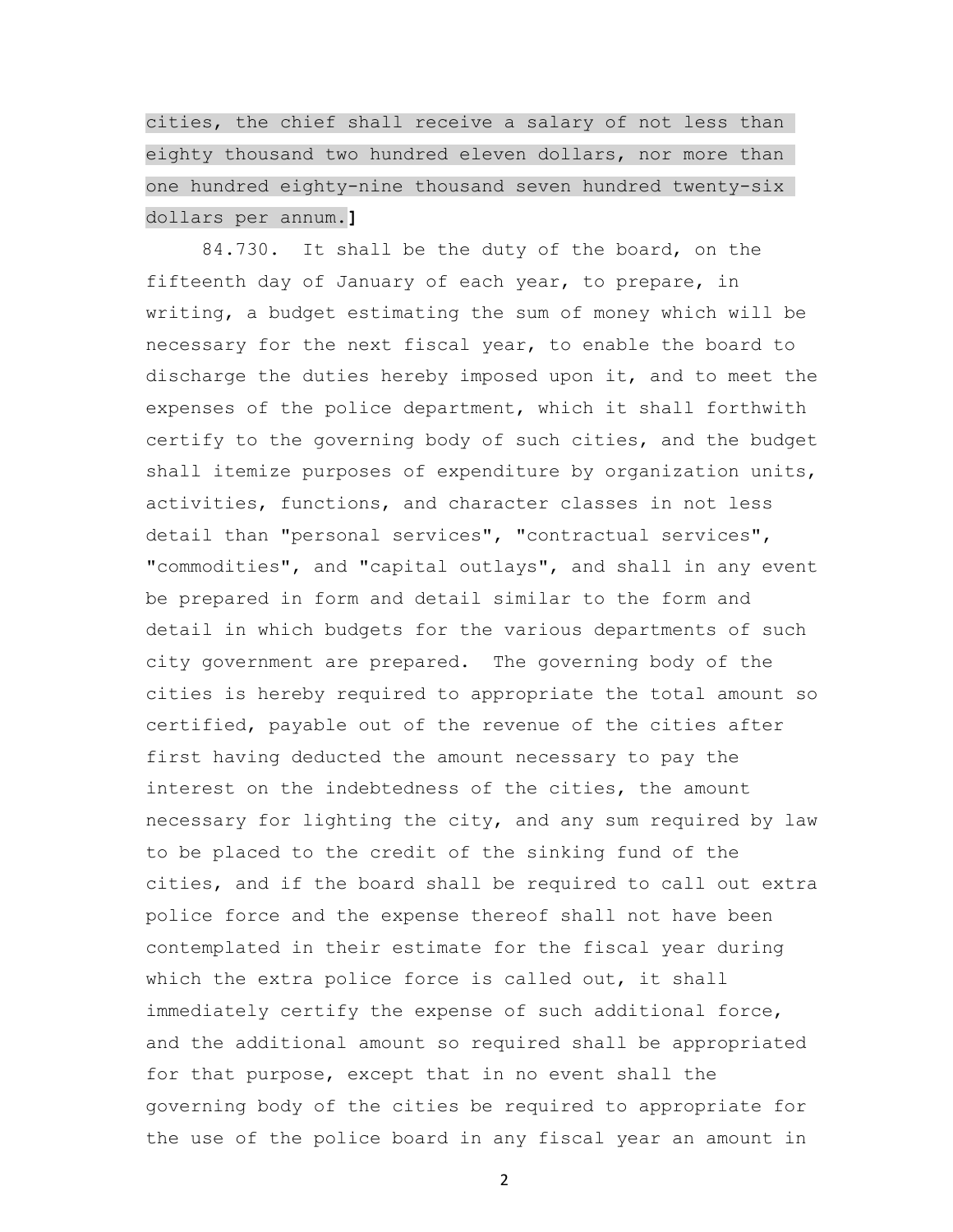cities, the chief shall receive a salary of not less than eighty thousand two hundred eleven dollars, nor more than one hundred eighty-nine thousand seven hundred twenty-six dollars per annum.**]**

 84.730. It shall be the duty of the board, on the fifteenth day of January of each year, to prepare, in writing, a budget estimating the sum of money which will be necessary for the next fiscal year, to enable the board to discharge the duties hereby imposed upon it, and to meet the expenses of the police department, which it shall forthwith certify to the governing body of such cities, and the budget shall itemize purposes of expenditure by organization units, activities, functions, and character classes in not less detail than "personal services", "contractual services", "commodities", and "capital outlays", and shall in any event be prepared in form and detail similar to the form and detail in which budgets for the various departments of such city government are prepared. The governing body of the cities is hereby required to appropriate the total amount so certified, payable out of the revenue of the cities after first having deducted the amount necessary to pay the interest on the indebtedness of the cities, the amount necessary for lighting the city, and any sum required by law to be placed to the credit of the sinking fund of the cities, and if the board shall be required to call out extra police force and the expense thereof shall not have been contemplated in their estimate for the fiscal year during which the extra police force is called out, it shall immediately certify the expense of such additional force, and the additional amount so required shall be appropriated for that purpose, except that in no event shall the governing body of the cities be required to appropriate for the use of the police board in any fiscal year an amount in

2